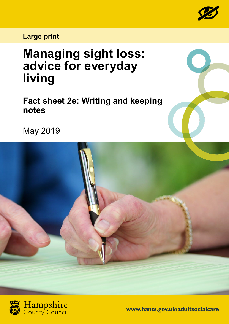

## **Large print**

# **Managing sight loss: advice for everyday living**

**Fact sheet 2e: Writing and keeping notes**

May 2019





**www.hants.gov.uk/adultsocialcare**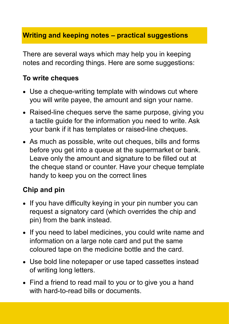### **Writing and keeping notes – practical suggestions**

There are several ways which may help you in keeping notes and recording things. Here are some suggestions:

#### **To write cheques**

- Use a cheque-writing template with windows cut where you will write payee, the amount and sign your name.
- Raised-line cheques serve the same purpose, giving you a tactile guide for the information you need to write. Ask your bank if it has templates or raised-line cheques.
- As much as possible, write out cheques, bills and forms before you get into a queue at the supermarket or bank. Leave only the amount and signature to be filled out at the cheque stand or counter. Have your cheque template handy to keep you on the correct lines

### **Chip and pin**

- If you have difficulty keying in your pin number you can request a signatory card (which overrides the chip and pin) from the bank instead.
- If you need to label medicines, you could write name and information on a large note card and put the same coloured tape on the medicine bottle and the card.
- Use bold line notepaper or use taped cassettes instead of writing long letters.
- Find a friend to read mail to you or to give you a hand with hard-to-read bills or documents.